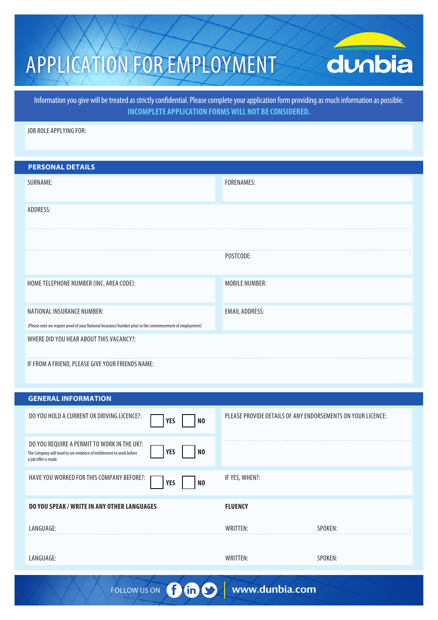# APPLICATION FOR EMPLOYMENT

# dunbia

Information you give will be treated as strictly confidential. Please complete your application form providing as much information as possible. **INCOMPLETE APPLICATION FORMS WILL NOT BE CONSIDERED.**

JOB ROLE APPLYING FOR:

| <b>PERSONAL DETAILS</b>                                                                                  |                       |
|----------------------------------------------------------------------------------------------------------|-----------------------|
| SURNAME:                                                                                                 | <b>FORENAMES:</b>     |
|                                                                                                          |                       |
| ADDRESS:                                                                                                 |                       |
|                                                                                                          |                       |
|                                                                                                          |                       |
|                                                                                                          | POSTCODE:             |
|                                                                                                          |                       |
| HOME TELEPHONE NUMBER (INC. AREA CODE):                                                                  | <b>MOBILE NUMBER:</b> |
|                                                                                                          |                       |
| NATIONAL INSURANCE NUMBER:                                                                               | <b>EMAIL ADDRESS:</b> |
| (Please note we require proof of your National Insurance Number prior to the commencement of employment) |                       |
| WHERE DID YOU HEAR ABOUT THIS VACANCY?:                                                                  |                       |
| IF FROM A FRIEND, PLEASE GIVE YOUR FRIENDS NAME:                                                         |                       |

#### **GENERAL INFORMATION**

| PLEASE PROVIDE DETAILS OF ANY ENDORSEMENTS ON YOUR LICENCE: |
|-------------------------------------------------------------|
|                                                             |
| IF YES, WHEN?:                                              |
| <b>FLUENCY</b>                                              |
| WRITTFN:<br><b>SPOKEN:</b>                                  |
| WRITTEN:<br>SPOKEN:                                         |
|                                                             |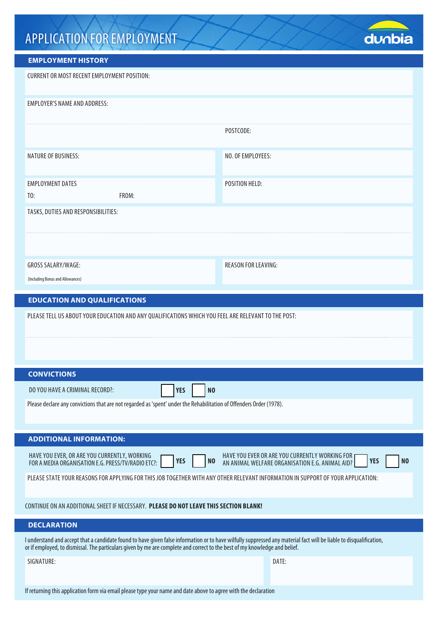## APPLICATION FOR EMPLOYMENT



### **EMPLOYMENT HISTORY**

| <b>CURRENT OR MOST RECENT EMPLOYMENT POSITION:</b>                                                                                                                                                                                                                                                |                                                                                                                                   |  |  |  |  |  |  |
|---------------------------------------------------------------------------------------------------------------------------------------------------------------------------------------------------------------------------------------------------------------------------------------------------|-----------------------------------------------------------------------------------------------------------------------------------|--|--|--|--|--|--|
| <b>EMPLOYER'S NAME AND ADDRESS:</b>                                                                                                                                                                                                                                                               |                                                                                                                                   |  |  |  |  |  |  |
|                                                                                                                                                                                                                                                                                                   | POSTCODE:                                                                                                                         |  |  |  |  |  |  |
| NATURE OF BUSINESS:                                                                                                                                                                                                                                                                               | NO. OF EMPLOYEES:                                                                                                                 |  |  |  |  |  |  |
| <b>EMPLOYMENT DATES</b><br>T0:<br>FROM:                                                                                                                                                                                                                                                           | POSITION HELD:                                                                                                                    |  |  |  |  |  |  |
| TASKS, DUTIES AND RESPONSIBILITIES:                                                                                                                                                                                                                                                               |                                                                                                                                   |  |  |  |  |  |  |
|                                                                                                                                                                                                                                                                                                   |                                                                                                                                   |  |  |  |  |  |  |
| GROSS SALARY/WAGE:                                                                                                                                                                                                                                                                                | <b>REASON FOR LEAVING:</b>                                                                                                        |  |  |  |  |  |  |
| (Including Bonus and Allowances)<br><b>EDUCATION AND QUALIFICATIONS</b>                                                                                                                                                                                                                           |                                                                                                                                   |  |  |  |  |  |  |
| PLEASE TELL US ABOUT YOUR EDUCATION AND ANY QUALIFICATIONS WHICH YOU FEEL ARE RELEVANT TO THE POST:                                                                                                                                                                                               |                                                                                                                                   |  |  |  |  |  |  |
|                                                                                                                                                                                                                                                                                                   |                                                                                                                                   |  |  |  |  |  |  |
|                                                                                                                                                                                                                                                                                                   |                                                                                                                                   |  |  |  |  |  |  |
| <b>CONVICTIONS</b><br>DO YOU HAVE A CRIMINAL RECORD?:                                                                                                                                                                                                                                             |                                                                                                                                   |  |  |  |  |  |  |
| <b>YES</b><br>N <sub>0</sub>                                                                                                                                                                                                                                                                      |                                                                                                                                   |  |  |  |  |  |  |
| Please declare any convictions that are not regarded as 'spent' under the Rehabilitation of Offenders Order (1978).                                                                                                                                                                               |                                                                                                                                   |  |  |  |  |  |  |
| <b>ADDITIONAL INFORMATION:</b>                                                                                                                                                                                                                                                                    |                                                                                                                                   |  |  |  |  |  |  |
| HAVE YOU EVER, OR ARE YOU CURRENTLY, WORKING<br><b>YES</b><br>N <sub>0</sub><br>FOR A MEDIA ORGANISATION E.G. PRESS/TV/RADIO ETC?:                                                                                                                                                                | HAVE YOU EVER OR ARE YOU CURRENTLY WORKING FOR<br><b>YES</b><br>N <sub>0</sub><br>AN ANIMAL WELFARE ORGANISATION E.G. ANIMAL AID? |  |  |  |  |  |  |
| PLEASE STATE YOUR REASONS FOR APPLYING FOR THIS JOB TOGETHER WITH ANY OTHER RELEVANT INFORMATION IN SUPPORT OF YOUR APPLICATION:                                                                                                                                                                  |                                                                                                                                   |  |  |  |  |  |  |
| CONTINUE ON AN ADDITIONAL SHEET IF NECESSARY. PLEASE DO NOT LEAVE THIS SECTION BLANK!                                                                                                                                                                                                             |                                                                                                                                   |  |  |  |  |  |  |
| <b>DECLARATION</b>                                                                                                                                                                                                                                                                                |                                                                                                                                   |  |  |  |  |  |  |
| I understand and accept that a candidate found to have given false information or to have wilfully suppressed any material fact will be liable to disqualification,<br>or if employed, to dismissal. The particulars given by me are complete and correct to the best of my knowledge and belief. |                                                                                                                                   |  |  |  |  |  |  |
| SIGNATURE:                                                                                                                                                                                                                                                                                        | DATE:                                                                                                                             |  |  |  |  |  |  |
| If returning this application form via email please type your name and date above to agree with the declaration                                                                                                                                                                                   |                                                                                                                                   |  |  |  |  |  |  |